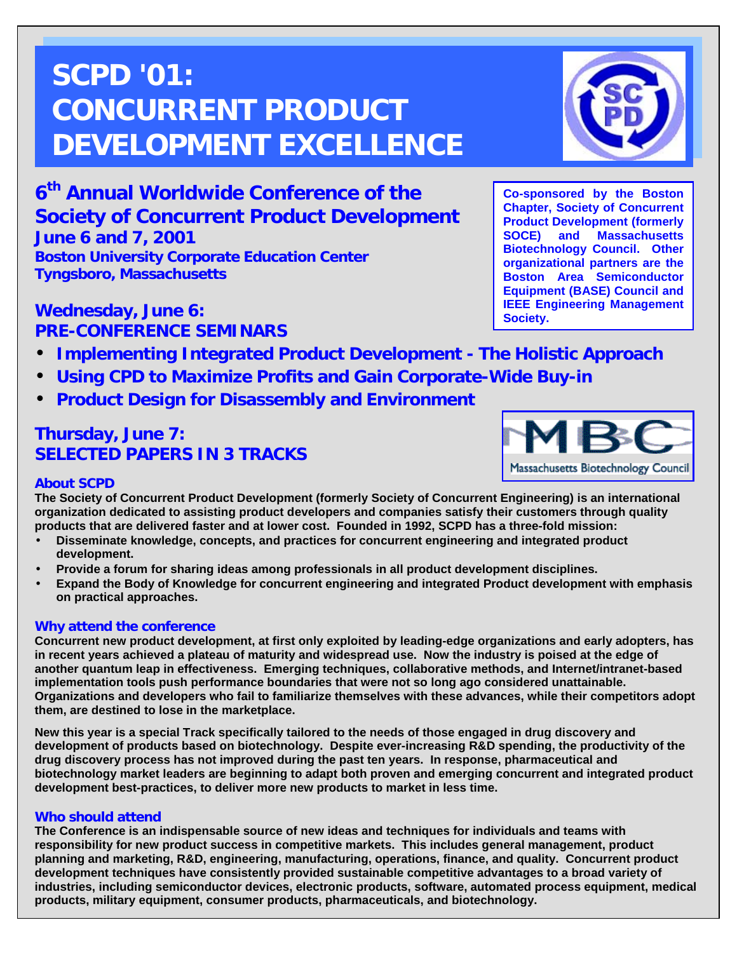# **SCPD '01: CONCURRENT PRODUCT DEVELOPMENT EXCELLENCE**



**Co-sponsored by the Boston Chapter, Society of Concurrent Product Development (formerly SOCE) and Massachusetts Biotechnology Council. Other organizational partners are the Boston Area Semiconductor Equipment (BASE) Council and IEEE Engineering Management**

**Society.**

**6th Annual Worldwide Conference of the Society of Concurrent Product Development June 6 and 7, 2001 Boston University Corporate Education Center Tyngsboro, Massachusetts**

# **Wednesday, June 6: PRE-CONFERENCE SEMINARS**

- **Implementing Integrated Product Development The Holistic Approach**
- **Using CPD to Maximize Profits and Gain Corporate-Wide Buy-in**
- **Product Design for Disassembly and Environment**

# **Thursday, June 7: SELECTED PAPERS IN 3 TRACKS**



### **About SCPD**

**The Society of Concurrent Product Development (formerly Society of Concurrent Engineering) is an international organization dedicated to assisting product developers and companies satisfy their customers through quality products that are delivered faster and at lower cost. Founded in 1992, SCPD has a three-fold mission:**

- **Disseminate knowledge, concepts, and practices for concurrent engineering and integrated product development.**
- **Provide a forum for sharing ideas among professionals in all product development disciplines.**
- **Expand the Body of Knowledge for concurrent engineering and integrated Product development with emphasis on practical approaches.**

#### **Why attend the conference**

**Concurrent new product development, at first only exploited by leading-edge organizations and early adopters, has in recent years achieved a plateau of maturity and widespread use. Now the industry is poised at the edge of another quantum leap in effectiveness. Emerging techniques, collaborative methods, and Internet/intranet-based implementation tools push performance boundaries that were not so long ago considered unattainable. Organizations and developers who fail to familiarize themselves with these advances, while their competitors adopt them, are destined to lose in the marketplace.**

**New this year is a special Track specifically tailored to the needs of those engaged in drug discovery and development of products based on biotechnology. Despite ever-increasing R&D spending, the productivity of the drug discovery process has not improved during the past ten years. In response, pharmaceutical and biotechnology market leaders are beginning to adapt both proven and emerging concurrent and integrated product development best-practices, to deliver more new products to market in less time.**

#### **Who should attend**

**The Conference is an indispensable source of new ideas and techniques for individuals and teams with responsibility for new product success in competitive markets. This includes general management, product planning and marketing, R&D, engineering, manufacturing, operations, finance, and quality. Concurrent product development techniques have consistently provided sustainable competitive advantages to a broad variety of industries, including semiconductor devices, electronic products, software, automated process equipment, medical products, military equipment, consumer products, pharmaceuticals, and biotechnology.**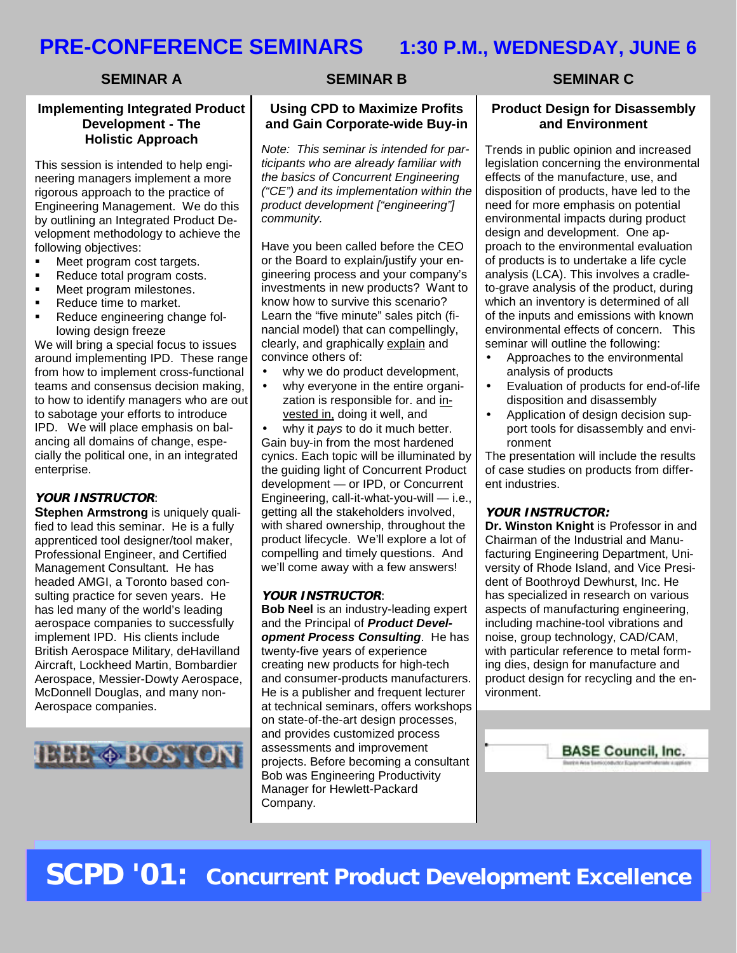# **PRE-CONFERENCE SEMINARS 1:30 P.M., WEDNESDAY, JUNE 6**

#### **SEMINAR A**

#### **Implementing Integrated Product Development - The Holistic Approach**

This session is intended to help engineering managers implement a more rigorous approach to the practice of Engineering Management. We do this by outlining an Integrated Product Development methodology to achieve the following objectives:

- ! Meet program cost targets.
- Reduce total program costs.
- ! Meet program milestones.
- **EXECUTE:** Reduce time to market.
- ! Reduce engineering change following design freeze

We will bring a special focus to issues around implementing IPD. These range from how to implement cross-functional teams and consensus decision making, to how to identify managers who are out to sabotage your efforts to introduce IPD. We will place emphasis on balancing all domains of change, especially the political one, in an integrated enterprise.

#### **YOUR INSTRUCTOR**:

**Stephen Armstrong** is uniquely qualified to lead this seminar. He is a fully apprenticed tool designer/tool maker, Professional Engineer, and Certified Management Consultant. He has headed AMGI, a Toronto based consulting practice for seven years. He has led many of the world's leading aerospace companies to successfully implement IPD. His clients include British Aerospace Military, deHavilland Aircraft, Lockheed Martin, Bombardier Aerospace, Messier-Dowty Aerospace, McDonnell Douglas, and many non-Aerospace companies.



#### **SEMINAR B**

#### **Using CPD to Maximize Profits and Gain Corporate-wide Buy-in**

*Note: This seminar is intended for participants who are already familiar with the basics of Concurrent Engineering ("CE") and its implementation within the product development ["engineering"] community.*

Have you been called before the CEO or the Board to explain/justify your engineering process and your company's investments in new products? Want to know how to survive this scenario? Learn the "five minute" sales pitch (financial model) that can compellingly, clearly, and graphically explain and convince others of:

- why we do product development,
- why everyone in the entire organization is responsible for. and invested in, doing it well, and

• why it *pays* to do it much better. Gain buy-in from the most hardened cynics. Each topic will be illuminated by the guiding light of Concurrent Product development — or IPD, or Concurrent Engineering, call-it-what-you-will — i.e., getting all the stakeholders involved, with shared ownership, throughout the product lifecycle. We'll explore a lot of compelling and timely questions. And we'll come away with a few answers!

#### **YOUR INSTRUCTOR**:

**Bob Neel** is an industry-leading expert and the Principal of *Product Development Process Consulting*. He has twenty-five years of experience creating new products for high-tech and consumer-products manufacturers. He is a publisher and frequent lecturer at technical seminars, offers workshops on state-of-the-art design processes, and provides customized process assessments and improvement projects. Before becoming a consultant Bob was Engineering Productivity Manager for Hewlett-Packard Company.

#### **SEMINAR C**

#### **Product Design for Disassembly and Environment**

Trends in public opinion and increased legislation concerning the environmental effects of the manufacture, use, and disposition of products, have led to the need for more emphasis on potential environmental impacts during product design and development. One approach to the environmental evaluation of products is to undertake a life cycle analysis (LCA). This involves a cradleto-grave analysis of the product, during which an inventory is determined of all of the inputs and emissions with known environmental effects of concern. This seminar will outline the following:

- Approaches to the environmental analysis of products
- Evaluation of products for end-of-life disposition and disassembly
- Application of design decision support tools for disassembly and environment

The presentation will include the results of case studies on products from different industries.

#### **YOUR INSTRUCTOR:**

**Dr. Winston Knight** is Professor in and Chairman of the Industrial and Manufacturing Engineering Department, University of Rhode Island, and Vice President of Boothroyd Dewhurst, Inc. He has specialized in research on various aspects of manufacturing engineering, including machine-tool vibrations and noise, group technology, CAD/CAM, with particular reference to metal forming dies, design for manufacture and product design for recycling and the environment.

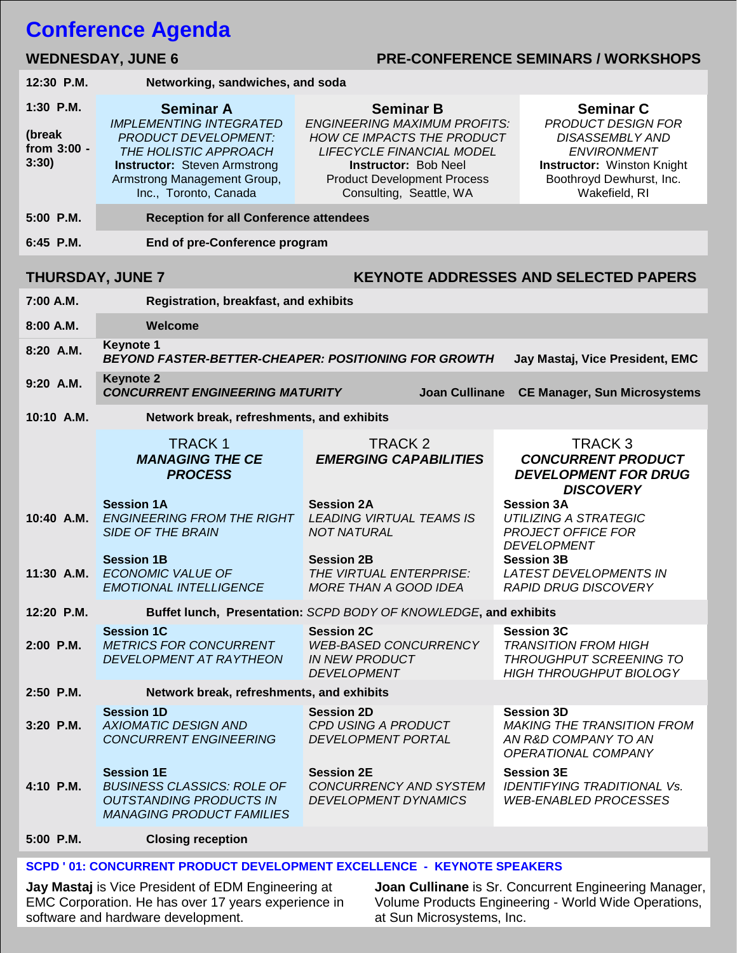# **Conference Agenda**

### WEDNESDAY, JUNE 6 **PRE-CONFERENCE SEMINARS / WORKSHOPS**

| 12:30 P.M.                                                              | Networking, sandwiches, and soda                                                                                                                                                                          |                                                                                                                                                                                                                                  |                                                                                                                                                                                 |  |  |  |  |  |
|-------------------------------------------------------------------------|-----------------------------------------------------------------------------------------------------------------------------------------------------------------------------------------------------------|----------------------------------------------------------------------------------------------------------------------------------------------------------------------------------------------------------------------------------|---------------------------------------------------------------------------------------------------------------------------------------------------------------------------------|--|--|--|--|--|
| 1:30 P.M.<br>(break<br>from 3:00 -<br>3:30)                             | <b>Seminar A</b><br><b>IMPLEMENTING INTEGRATED</b><br><b>PRODUCT DEVELOPMENT:</b><br>THE HOLISTIC APPROACH<br><b>Instructor:</b> Steven Armstrong<br>Armstrong Management Group,<br>Inc., Toronto, Canada | <b>Seminar B</b><br><b>ENGINEERING MAXIMUM PROFITS:</b><br><b>HOW CE IMPACTS THE PRODUCT</b><br><b>LIFECYCLE FINANCIAL MODEL</b><br><b>Instructor: Bob Neel</b><br><b>Product Development Process</b><br>Consulting, Seattle, WA | <b>Seminar C</b><br><b>PRODUCT DESIGN FOR</b><br><b>DISASSEMBLY AND</b><br><b>ENVIRONMENT</b><br><b>Instructor: Winston Knight</b><br>Boothroyd Dewhurst, Inc.<br>Wakefield, RI |  |  |  |  |  |
| 5:00 P.M.                                                               | <b>Reception for all Conference attendees</b>                                                                                                                                                             |                                                                                                                                                                                                                                  |                                                                                                                                                                                 |  |  |  |  |  |
| 6:45 P.M.                                                               | End of pre-Conference program                                                                                                                                                                             |                                                                                                                                                                                                                                  |                                                                                                                                                                                 |  |  |  |  |  |
| <b>KEYNOTE ADDRESSES AND SELECTED PAPERS</b><br><b>THURSDAY, JUNE 7</b> |                                                                                                                                                                                                           |                                                                                                                                                                                                                                  |                                                                                                                                                                                 |  |  |  |  |  |
| 7:00 A.M.                                                               | Registration, breakfast, and exhibits                                                                                                                                                                     |                                                                                                                                                                                                                                  |                                                                                                                                                                                 |  |  |  |  |  |
| 8:00 A.M.                                                               | Welcome                                                                                                                                                                                                   |                                                                                                                                                                                                                                  |                                                                                                                                                                                 |  |  |  |  |  |
| 8:20 A.M.                                                               | <b>Keynote 1</b><br><b>BEYOND FASTER-BETTER-CHEAPER: POSITIONING FOR GROWTH</b><br>Jay Mastaj, Vice President, EMC                                                                                        |                                                                                                                                                                                                                                  |                                                                                                                                                                                 |  |  |  |  |  |
| 9:20 A.M.                                                               | <b>Keynote 2</b><br><b>CONCURRENT ENGINEERING MATURITY</b><br><b>Joan Cullinane</b><br><b>CE Manager, Sun Microsystems</b>                                                                                |                                                                                                                                                                                                                                  |                                                                                                                                                                                 |  |  |  |  |  |
| 10:10 A.M.                                                              | Network break, refreshments, and exhibits                                                                                                                                                                 |                                                                                                                                                                                                                                  |                                                                                                                                                                                 |  |  |  |  |  |
|                                                                         | <b>TRACK1</b><br><b>MANAGING THE CE</b><br><b>PROCESS</b>                                                                                                                                                 | TRACK <sub>2</sub><br><b>EMERGING CAPABILITIES</b>                                                                                                                                                                               | TRACK <sub>3</sub><br><b>CONCURRENT PRODUCT</b><br><b>DEVELOPMENT FOR DRUG</b><br><b>DISCOVERY</b>                                                                              |  |  |  |  |  |
| 10:40 A.M.                                                              | <b>Session 1A</b><br>ENGINEERING FROM THE RIGHT LEADING VIRTUAL TEAMS IS<br><b>SIDE OF THE BRAIN</b>                                                                                                      | <b>Session 2A</b><br><b>NOT NATURAL</b>                                                                                                                                                                                          | <b>Session 3A</b><br><b>UTILIZING A STRATEGIC</b><br><b>PROJECT OFFICE FOR</b><br><b>DEVELOPMENT</b>                                                                            |  |  |  |  |  |
| 11:30 A.M.                                                              | <b>Session 1B</b><br><b>ECONOMIC VALUE OF</b><br><b>EMOTIONAL INTELLIGENCE</b>                                                                                                                            | <b>Session 2B</b><br>THE VIRTUAL ENTERPRISE:<br>MORE THAN A GOOD IDEA                                                                                                                                                            | <b>Session 3B</b><br><b>LATEST DEVELOPMENTS IN</b><br><b>RAPID DRUG DISCOVERY</b>                                                                                               |  |  |  |  |  |
| 12:20 P.M.                                                              | Buffet lunch, Presentation: SCPD BODY OF KNOWLEDGE, and exhibits                                                                                                                                          |                                                                                                                                                                                                                                  |                                                                                                                                                                                 |  |  |  |  |  |
| 2:00 P.M.                                                               | <b>Session 1C</b><br><b>METRICS FOR CONCURRENT</b><br>DEVELOPMENT AT RAYTHEON                                                                                                                             | <b>Session 2C</b><br><b>WEB-BASED CONCURRENCY</b><br>IN NEW PRODUCT<br><b>DEVELOPMENT</b>                                                                                                                                        | <b>Session 3C</b><br><b>TRANSITION FROM HIGH</b><br><b>THROUGHPUT SCREENING TO</b><br>HIGH THROUGHPUT BIOLOGY                                                                   |  |  |  |  |  |
| 2:50 P.M.                                                               | Network break, refreshments, and exhibits                                                                                                                                                                 |                                                                                                                                                                                                                                  |                                                                                                                                                                                 |  |  |  |  |  |
| 3:20 P.M.                                                               | <b>Session 1D</b><br><b>AXIOMATIC DESIGN AND</b><br><b>CONCURRENT ENGINEERING</b>                                                                                                                         | <b>Session 2D</b><br><b>CPD USING A PRODUCT</b><br><b>DEVELOPMENT PORTAL</b>                                                                                                                                                     | <b>Session 3D</b><br><b>MAKING THE TRANSITION FROM</b><br>AN R&D COMPANY TO AN<br>OPERATIONAL COMPANY                                                                           |  |  |  |  |  |
| 4:10 P.M.                                                               | <b>Session 1E</b><br><b>BUSINESS CLASSICS: ROLE OF</b><br><b>OUTSTANDING PRODUCTS IN</b><br><b>MANAGING PRODUCT FAMILIES</b>                                                                              | <b>Session 2E</b><br>CONCURRENCY AND SYSTEM<br><b>DEVELOPMENT DYNAMICS</b>                                                                                                                                                       | <b>Session 3E</b><br><b>IDENTIFYING TRADITIONAL Vs.</b><br><b>WEB-ENABLED PROCESSES</b>                                                                                         |  |  |  |  |  |
|                                                                         |                                                                                                                                                                                                           |                                                                                                                                                                                                                                  |                                                                                                                                                                                 |  |  |  |  |  |

#### **SCPD ' 01: CONCURRENT PRODUCT DEVELOPMENT EXCELLENCE - KEYNOTE SPEAKERS**

**Jay Mastaj** is Vice President of EDM Engineering at EMC Corporation. He has over 17 years experience in software and hardware development.

**Joan Cullinane** is Sr. Concurrent Engineering Manager, Volume Products Engineering - World Wide Operations, at Sun Microsystems, Inc.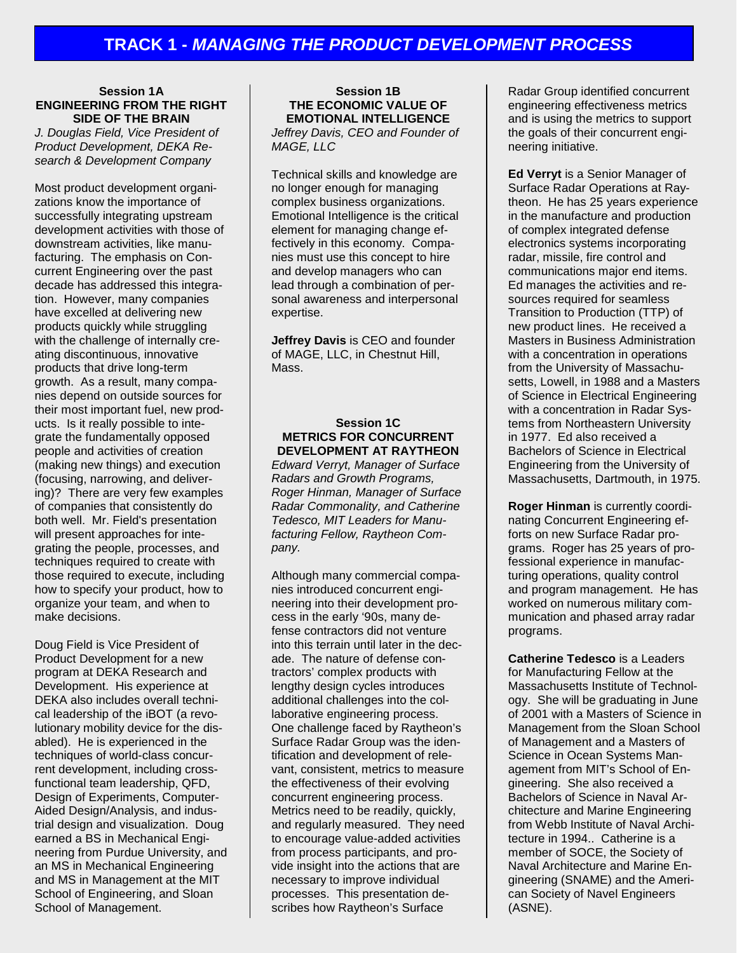#### **Session 1A ENGINEERING FROM THE RIGHT SIDE OF THE BRAIN**

*J. Douglas Field, Vice President of Product Development, DEKA Research & Development Company*

Most product development organizations know the importance of successfully integrating upstream development activities with those of downstream activities, like manufacturing. The emphasis on Concurrent Engineering over the past decade has addressed this integration. However, many companies have excelled at delivering new products quickly while struggling with the challenge of internally creating discontinuous, innovative products that drive long-term growth. As a result, many companies depend on outside sources for their most important fuel, new products. Is it really possible to integrate the fundamentally opposed people and activities of creation (making new things) and execution (focusing, narrowing, and delivering)? There are very few examples of companies that consistently do both well. Mr. Field's presentation will present approaches for integrating the people, processes, and techniques required to create with those required to execute, including how to specify your product, how to organize your team, and when to make decisions.

Doug Field is Vice President of Product Development for a new program at DEKA Research and Development. His experience at DEKA also includes overall technical leadership of the iBOT (a revolutionary mobility device for the disabled). He is experienced in the techniques of world-class concurrent development, including crossfunctional team leadership, QFD, Design of Experiments, Computer-Aided Design/Analysis, and industrial design and visualization. Doug earned a BS in Mechanical Engineering from Purdue University, and an MS in Mechanical Engineering and MS in Management at the MIT School of Engineering, and Sloan School of Management.

#### **Session 1B THE ECONOMIC VALUE OF EMOTIONAL INTELLIGENCE**

*Jeffrey Davis, CEO and Founder of MAGE, LLC*

Technical skills and knowledge are no longer enough for managing complex business organizations. Emotional Intelligence is the critical element for managing change effectively in this economy. Companies must use this concept to hire and develop managers who can lead through a combination of personal awareness and interpersonal expertise.

**Jeffrey Davis** is CEO and founder of MAGE, LLC, in Chestnut Hill, **Mass** 

#### **Session 1C METRICS FOR CONCURRENT DEVELOPMENT AT RAYTHEON**

*Edward Verryt, Manager of Surface Radars and Growth Programs, Roger Hinman, Manager of Surface Radar Commonality, and Catherine Tedesco, MIT Leaders for Manufacturing Fellow, Raytheon Company.*

Although many commercial companies introduced concurrent engineering into their development process in the early '90s, many defense contractors did not venture into this terrain until later in the decade. The nature of defense contractors' complex products with lengthy design cycles introduces additional challenges into the collaborative engineering process. One challenge faced by Raytheon's Surface Radar Group was the identification and development of relevant, consistent, metrics to measure the effectiveness of their evolving concurrent engineering process. Metrics need to be readily, quickly, and regularly measured. They need to encourage value-added activities from process participants, and provide insight into the actions that are necessary to improve individual processes. This presentation describes how Raytheon's Surface

Radar Group identified concurrent engineering effectiveness metrics and is using the metrics to support the goals of their concurrent engineering initiative.

**Ed Verryt** is a Senior Manager of Surface Radar Operations at Raytheon. He has 25 years experience in the manufacture and production of complex integrated defense electronics systems incorporating radar, missile, fire control and communications major end items. Ed manages the activities and resources required for seamless Transition to Production (TTP) of new product lines. He received a Masters in Business Administration with a concentration in operations from the University of Massachusetts, Lowell, in 1988 and a Masters of Science in Electrical Engineering with a concentration in Radar Systems from Northeastern University in 1977. Ed also received a Bachelors of Science in Electrical Engineering from the University of Massachusetts, Dartmouth, in 1975.

**Roger Hinman** is currently coordinating Concurrent Engineering efforts on new Surface Radar programs. Roger has 25 years of professional experience in manufacturing operations, quality control and program management. He has worked on numerous military communication and phased array radar programs.

**Catherine Tedesco** is a Leaders for Manufacturing Fellow at the Massachusetts Institute of Technology. She will be graduating in June of 2001 with a Masters of Science in Management from the Sloan School of Management and a Masters of Science in Ocean Systems Management from MIT's School of Engineering. She also received a Bachelors of Science in Naval Architecture and Marine Engineering from Webb Institute of Naval Architecture in 1994.. Catherine is a member of SOCE, the Society of Naval Architecture and Marine Engineering (SNAME) and the American Society of Navel Engineers (ASNE).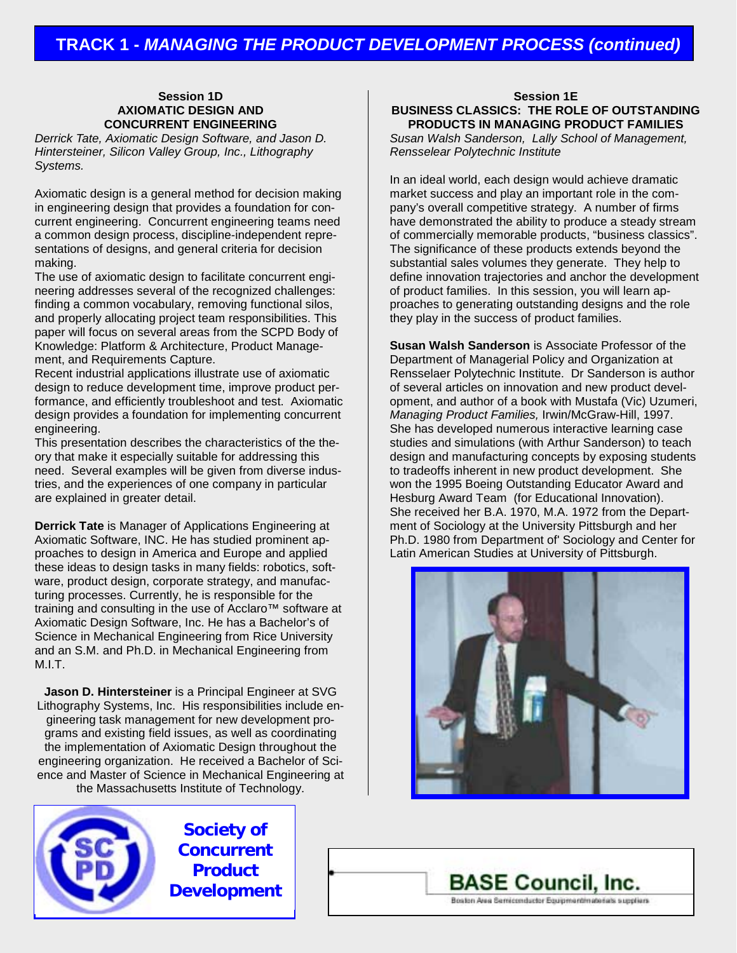#### **Session 1D AXIOMATIC DESIGN AND CONCURRENT ENGINEERING**

*Derrick Tate, Axiomatic Design Software, and Jason D. Hintersteiner, Silicon Valley Group, Inc., Lithography Systems.*

Axiomatic design is a general method for decision making in engineering design that provides a foundation for concurrent engineering. Concurrent engineering teams need a common design process, discipline-independent representations of designs, and general criteria for decision making.

The use of axiomatic design to facilitate concurrent engineering addresses several of the recognized challenges: finding a common vocabulary, removing functional silos, and properly allocating project team responsibilities. This paper will focus on several areas from the SCPD Body of Knowledge: Platform & Architecture, Product Management, and Requirements Capture.

Recent industrial applications illustrate use of axiomatic design to reduce development time, improve product performance, and efficiently troubleshoot and test. Axiomatic design provides a foundation for implementing concurrent engineering.

This presentation describes the characteristics of the theory that make it especially suitable for addressing this need. Several examples will be given from diverse industries, and the experiences of one company in particular are explained in greater detail.

**Derrick Tate** is Manager of Applications Engineering at Axiomatic Software, INC. He has studied prominent approaches to design in America and Europe and applied these ideas to design tasks in many fields: robotics, software, product design, corporate strategy, and manufacturing processes. Currently, he is responsible for the training and consulting in the use of Acclaro™ software at Axiomatic Design Software, Inc. He has a Bachelor's of Science in Mechanical Engineering from Rice University and an S.M. and Ph.D. in Mechanical Engineering from M.I.T.

**Jason D. Hintersteiner** is a Principal Engineer at SVG Lithography Systems, Inc. His responsibilities include engineering task management for new development programs and existing field issues, as well as coordinating the implementation of Axiomatic Design throughout the engineering organization. He received a Bachelor of Science and Master of Science in Mechanical Engineering at the Massachusetts Institute of Technology.



**Society of Concurrent Product Development**

**Session 1E BUSINESS CLASSICS: THE ROLE OF OUTSTANDING PRODUCTS IN MANAGING PRODUCT FAMILIES**

*Susan Walsh Sanderson, Lally School of Management, Rensselear Polytechnic Institute*

In an ideal world, each design would achieve dramatic market success and play an important role in the company's overall competitive strategy. A number of firms have demonstrated the ability to produce a steady stream of commercially memorable products, "business classics". The significance of these products extends beyond the substantial sales volumes they generate. They help to define innovation trajectories and anchor the development of product families. In this session, you will learn approaches to generating outstanding designs and the role they play in the success of product families.

**Susan Walsh Sanderson** is Associate Professor of the Department of Managerial Policy and Organization at Rensselaer Polytechnic Institute. Dr Sanderson is author of several articles on innovation and new product development, and author of a book with Mustafa (Vic) Uzumeri, *Managing Product Families,* Irwin/McGraw-Hill, 1997. She has developed numerous interactive learning case studies and simulations (with Arthur Sanderson) to teach design and manufacturing concepts by exposing students to tradeoffs inherent in new product development. She won the 1995 Boeing Outstanding Educator Award and Hesburg Award Team (for Educational Innovation). She received her B.A. 1970, M.A. 1972 from the Department of Sociology at the University Pittsburgh and her Ph.D. 1980 from Department of' Sociology and Center for Latin American Studies at University of Pittsburgh.



**BASE Council, Inc.** Boston Area Semiconductor Equipment materials suppliers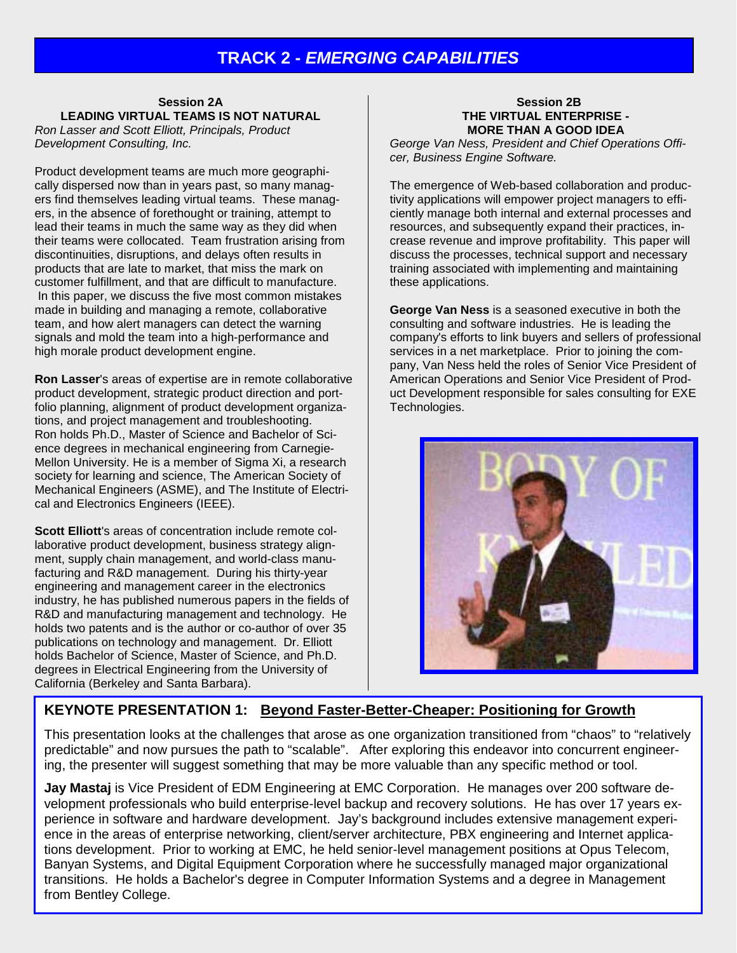## **TRACK 2 -** *EMERGING CAPABILITIES*

#### **Session 2A LEADING VIRTUAL TEAMS IS NOT NATURAL**

*Ron Lasser and Scott Elliott, Principals, Product Development Consulting, Inc.*

Product development teams are much more geographically dispersed now than in years past, so many managers find themselves leading virtual teams. These managers, in the absence of forethought or training, attempt to lead their teams in much the same way as they did when their teams were collocated. Team frustration arising from discontinuities, disruptions, and delays often results in products that are late to market, that miss the mark on customer fulfillment, and that are difficult to manufacture. In this paper, we discuss the five most common mistakes made in building and managing a remote, collaborative team, and how alert managers can detect the warning signals and mold the team into a high-performance and high morale product development engine.

**Ron Lasser**'s areas of expertise are in remote collaborative product development, strategic product direction and portfolio planning, alignment of product development organizations, and project management and troubleshooting. Ron holds Ph.D., Master of Science and Bachelor of Science degrees in mechanical engineering from Carnegie-Mellon University. He is a member of Sigma Xi, a research society for learning and science, The American Society of Mechanical Engineers (ASME), and The Institute of Electrical and Electronics Engineers (IEEE).

**Scott Elliott**'s areas of concentration include remote collaborative product development, business strategy alignment, supply chain management, and world-class manufacturing and R&D management. During his thirty-year engineering and management career in the electronics industry, he has published numerous papers in the fields of R&D and manufacturing management and technology. He holds two patents and is the author or co-author of over 35 publications on technology and management. Dr. Elliott holds Bachelor of Science, Master of Science, and Ph.D. degrees in Electrical Engineering from the University of California (Berkeley and Santa Barbara).

#### **Session 2B THE VIRTUAL ENTERPRISE - MORE THAN A GOOD IDEA**

*George Van Ness, President and Chief Operations Officer, Business Engine Software.*

The emergence of Web-based collaboration and productivity applications will empower project managers to efficiently manage both internal and external processes and resources, and subsequently expand their practices, increase revenue and improve profitability. This paper will discuss the processes, technical support and necessary training associated with implementing and maintaining these applications.

**George Van Ness** is a seasoned executive in both the consulting and software industries. He is leading the company's efforts to link buyers and sellers of professional services in a net marketplace. Prior to joining the company, Van Ness held the roles of Senior Vice President of American Operations and Senior Vice President of Product Development responsible for sales consulting for EXE Technologies.



### **KEYNOTE PRESENTATION 1: Beyond Faster-Better-Cheaper: Positioning for Growth**

This presentation looks at the challenges that arose as one organization transitioned from "chaos" to "relatively predictable" and now pursues the path to "scalable". After exploring this endeavor into concurrent engineering, the presenter will suggest something that may be more valuable than any specific method or tool.

**Jay Mastaj** is Vice President of EDM Engineering at EMC Corporation. He manages over 200 software development professionals who build enterprise-level backup and recovery solutions. He has over 17 years experience in software and hardware development. Jay's background includes extensive management experience in the areas of enterprise networking, client/server architecture, PBX engineering and Internet applications development. Prior to working at EMC, he held senior-level management positions at Opus Telecom, Banyan Systems, and Digital Equipment Corporation where he successfully managed major organizational transitions. He holds a Bachelor's degree in Computer Information Systems and a degree in Management from Bentley College.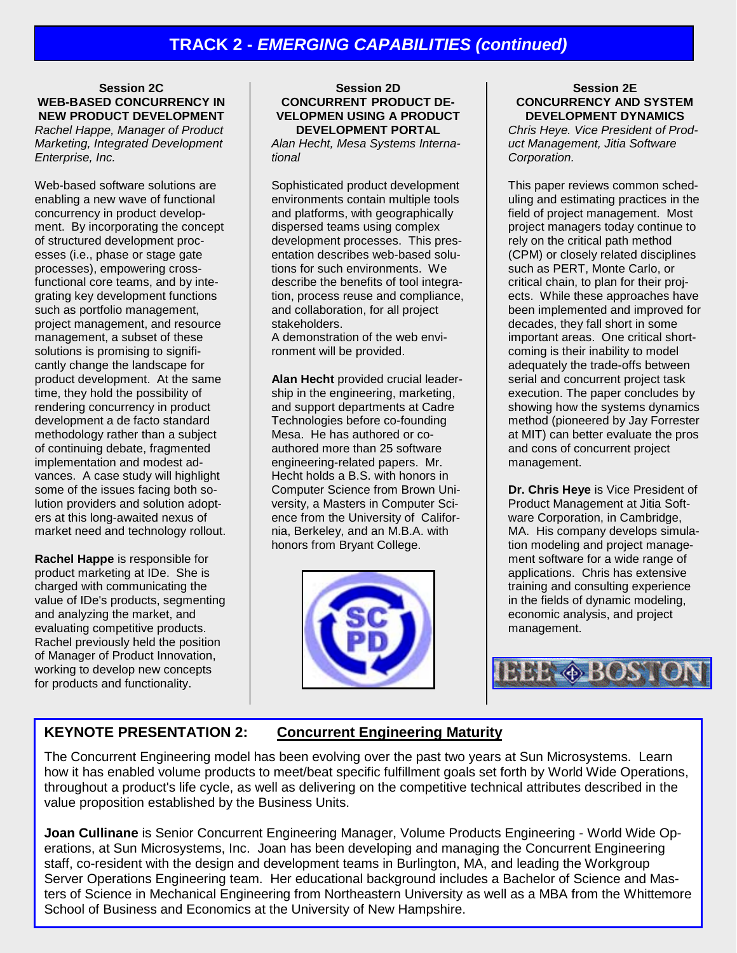**Session 2C WEB-BASED CONCURRENCY IN NEW PRODUCT DEVELOPMENT** *Rachel Happe, Manager of Product Marketing, Integrated Development Enterprise, Inc.*

Web-based software solutions are enabling a new wave of functional concurrency in product development. By incorporating the concept of structured development processes (i.e., phase or stage gate processes), empowering crossfunctional core teams, and by integrating key development functions such as portfolio management, project management, and resource management, a subset of these solutions is promising to significantly change the landscape for product development. At the same time, they hold the possibility of rendering concurrency in product development a de facto standard methodology rather than a subject of continuing debate, fragmented implementation and modest advances. A case study will highlight some of the issues facing both solution providers and solution adopters at this long-awaited nexus of market need and technology rollout.

**Rachel Happe** is responsible for product marketing at IDe. She is charged with communicating the value of IDe's products, segmenting and analyzing the market, and evaluating competitive products. Rachel previously held the position of Manager of Product Innovation, working to develop new concepts for products and functionality.

#### **Session 2D CONCURRENT PRODUCT DE-VELOPMEN USING A PRODUCT DEVELOPMENT PORTAL**

*Alan Hecht, Mesa Systems International*

Sophisticated product development environments contain multiple tools and platforms, with geographically dispersed teams using complex development processes. This presentation describes web-based solutions for such environments. We describe the benefits of tool integration, process reuse and compliance, and collaboration, for all project stakeholders.

A demonstration of the web environment will be provided.

**Alan Hecht** provided crucial leadership in the engineering, marketing, and support departments at Cadre Technologies before co-founding Mesa. He has authored or coauthored more than 25 software engineering-related papers. Mr. Hecht holds a B.S. with honors in Computer Science from Brown University, a Masters in Computer Science from the University of California, Berkeley, and an M.B.A. with honors from Bryant College.



#### **Session 2E CONCURRENCY AND SYSTEM DEVELOPMENT DYNAMICS**

*Chris Heye. Vice President of Product Management, Jitia Software Corporation.*

This paper reviews common scheduling and estimating practices in the field of project management. Most project managers today continue to rely on the critical path method (CPM) or closely related disciplines such as PERT, Monte Carlo, or critical chain, to plan for their projects. While these approaches have been implemented and improved for decades, they fall short in some important areas. One critical shortcoming is their inability to model adequately the trade-offs between serial and concurrent project task execution. The paper concludes by showing how the systems dynamics method (pioneered by Jay Forrester at MIT) can better evaluate the pros and cons of concurrent project management.

**Dr. Chris Heye** is Vice President of Product Management at Jitia Software Corporation, in Cambridge, MA. His company develops simulation modeling and project management software for a wide range of applications. Chris has extensive training and consulting experience in the fields of dynamic modeling, economic analysis, and project management.



### **KEYNOTE PRESENTATION 2: Concurrent Engineering Maturity**

The Concurrent Engineering model has been evolving over the past two years at Sun Microsystems. Learn how it has enabled volume products to meet/beat specific fulfillment goals set forth by World Wide Operations, throughout a product's life cycle, as well as delivering on the competitive technical attributes described in the value proposition established by the Business Units.

**Joan Cullinane** is Senior Concurrent Engineering Manager, Volume Products Engineering - World Wide Operations, at Sun Microsystems, Inc. Joan has been developing and managing the Concurrent Engineering staff, co-resident with the design and development teams in Burlington, MA, and leading the Workgroup Server Operations Engineering team. Her educational background includes a Bachelor of Science and Masters of Science in Mechanical Engineering from Northeastern University as well as a MBA from the Whittemore School of Business and Economics at the University of New Hampshire.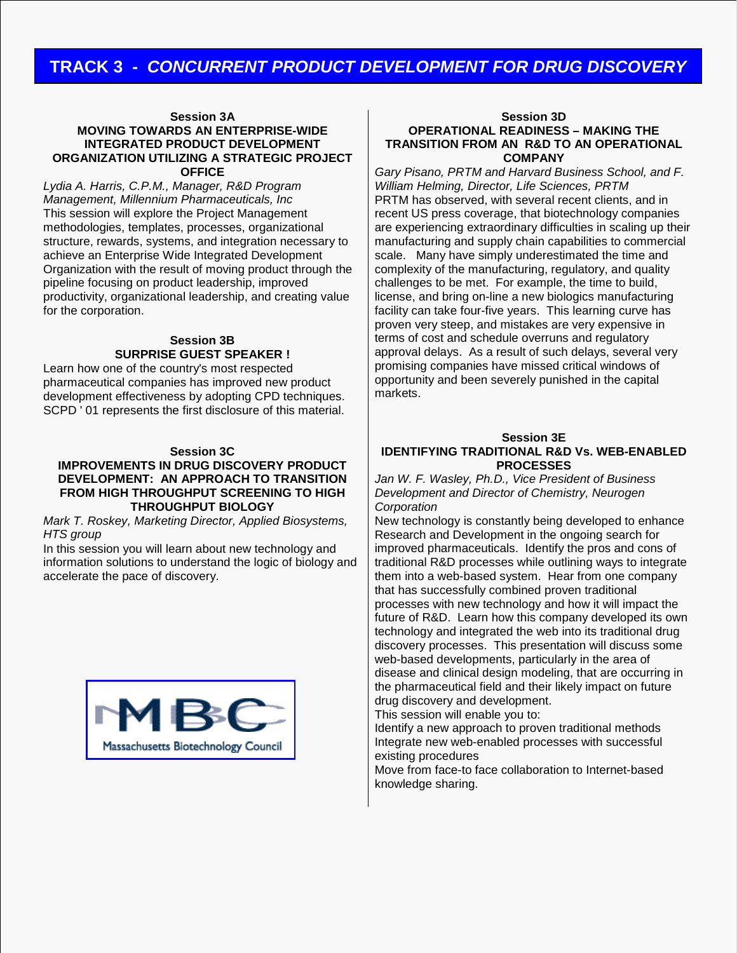# **TRACK 3 -** *CONCURRENT PRODUCT DEVELOPMENT FOR DRUG DISCOVERY*

#### **Session 3A MOVING TOWARDS AN ENTERPRISE-WIDE INTEGRATED PRODUCT DEVELOPMENT ORGANIZATION UTILIZING A STRATEGIC PROJECT OFFICE**

*Lydia A. Harris, C.P.M., Manager, R&D Program Management, Millennium Pharmaceuticals, Inc* This session will explore the Project Management methodologies, templates, processes, organizational structure, rewards, systems, and integration necessary to achieve an Enterprise Wide Integrated Development Organization with the result of moving product through the pipeline focusing on product leadership, improved productivity, organizational leadership, and creating value for the corporation.

#### **Session 3B SURPRISE GUEST SPEAKER !**

Learn how one of the country's most respected pharmaceutical companies has improved new product development effectiveness by adopting CPD techniques. SCPD ' 01 represents the first disclosure of this material.

#### **Session 3C**

#### **IMPROVEMENTS IN DRUG DISCOVERY PRODUCT DEVELOPMENT: AN APPROACH TO TRANSITION FROM HIGH THROUGHPUT SCREENING TO HIGH THROUGHPUT BIOLOGY**

*Mark T. Roskey, Marketing Director, Applied Biosystems, HTS group*

In this session you will learn about new technology and information solutions to understand the logic of biology and accelerate the pace of discovery.



#### **Session 3D OPERATIONAL READINESS – MAKING THE TRANSITION FROM AN R&D TO AN OPERATIONAL COMPANY**

*Gary Pisano, PRTM and Harvard Business School, and F. William Helming, Director, Life Sciences, PRTM* PRTM has observed, with several recent clients, and in recent US press coverage, that biotechnology companies are experiencing extraordinary difficulties in scaling up their manufacturing and supply chain capabilities to commercial scale. Many have simply underestimated the time and complexity of the manufacturing, regulatory, and quality challenges to be met. For example, the time to build, license, and bring on-line a new biologics manufacturing facility can take four-five years. This learning curve has proven very steep, and mistakes are very expensive in terms of cost and schedule overruns and regulatory approval delays. As a result of such delays, several very promising companies have missed critical windows of opportunity and been severely punished in the capital markets.

#### **Session 3E IDENTIFYING TRADITIONAL R&D Vs. WEB-ENABLED PROCESSES**

*Jan W. F. Wasley, Ph.D., Vice President of Business Development and Director of Chemistry, Neurogen Corporation*

New technology is constantly being developed to enhance Research and Development in the ongoing search for improved pharmaceuticals. Identify the pros and cons of traditional R&D processes while outlining ways to integrate them into a web-based system. Hear from one company that has successfully combined proven traditional processes with new technology and how it will impact the future of R&D. Learn how this company developed its own technology and integrated the web into its traditional drug discovery processes. This presentation will discuss some web-based developments, particularly in the area of disease and clinical design modeling, that are occurring in the pharmaceutical field and their likely impact on future drug discovery and development.

This session will enable you to:

Identify a new approach to proven traditional methods Integrate new web-enabled processes with successful existing procedures

Move from face-to face collaboration to Internet-based knowledge sharing.